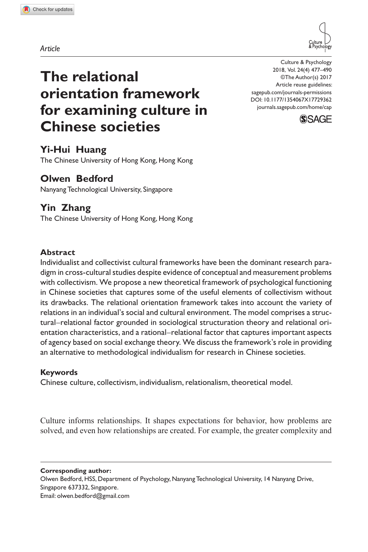*Article*



# **The relational orientation framework for examining culture in Chinese societies**

Culture & Psychology 2018, Vol. 24(4) 477–490 ©The Author(s) 2017 Article reuse guidelines: sagepub.com/journals-permissions DOI: 10.1177/1354067X17729362 journals.sagepub.com/home/cap



# **Yi-Hui Huang**

The Chinese University of Hong Kong, Hong Kong

# **Olwen Bedford**

Nanyang Technological University, Singapore

## **Yin Zhang**

The Chinese University of Hong Kong, Hong Kong

## **Abstract**

Individualist and collectivist cultural frameworks have been the dominant research paradigm in cross-cultural studies despite evidence of conceptual and measurement problems with collectivism. We propose a new theoretical framework of psychological functioning in Chinese societies that captures some of the useful elements of collectivism without its drawbacks. The relational orientation framework takes into account the variety of relations in an individual's social and cultural environment. The model comprises a structural–relational factor grounded in sociological structuration theory and relational orientation characteristics, and a rational–relational factor that captures important aspects of agency based on social exchange theory. We discuss the framework's role in providing an alternative to methodological individualism for research in Chinese societies.

## **Keywords**

Chinese culture, collectivism, individualism, relationalism, theoretical model.

Culture informs relationships. It shapes expectations for behavior, how problems are solved, and even how relationships are created. For example, the greater complexity and

**Corresponding author:** Olwen Bedford, HSS, Department of Psychology, Nanyang Technological University, 14 Nanyang Drive, Singapore 637332, Singapore. Email: olwen.bedford@gmail.com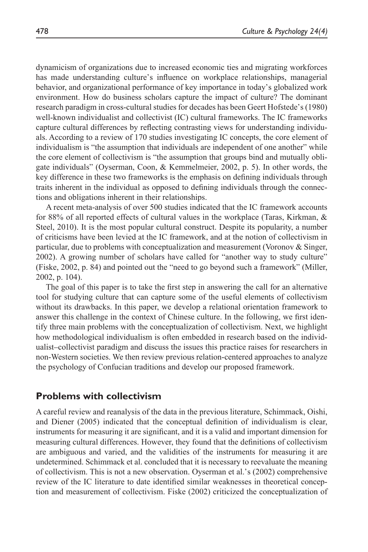dynamicism of organizations due to increased economic ties and migrating workforces has made understanding culture's influence on workplace relationships, managerial behavior, and organizational performance of key importance in today's globalized work environment. How do business scholars capture the impact of culture? The dominant research paradigm in cross-cultural studies for decades has been Geert Hofstede's (1980) well-known individualist and collectivist (IC) cultural frameworks. The IC frameworks capture cultural differences by reflecting contrasting views for understanding individuals. According to a review of 170 studies investigating IC concepts, the core element of individualism is "the assumption that individuals are independent of one another" while the core element of collectivism is "the assumption that groups bind and mutually obligate individuals" (Oyserman, Coon, & Kemmelmeier, 2002, p. 5). In other words, the key difference in these two frameworks is the emphasis on defining individuals through traits inherent in the individual as opposed to defining individuals through the connections and obligations inherent in their relationships.

A recent meta-analysis of over 500 studies indicated that the IC framework accounts for 88% of all reported effects of cultural values in the workplace (Taras, Kirkman, & Steel, 2010). It is the most popular cultural construct. Despite its popularity, a number of criticisms have been levied at the IC framework, and at the notion of collectivism in particular, due to problems with conceptualization and measurement (Voronov & Singer, 2002). A growing number of scholars have called for "another way to study culture" (Fiske, 2002, p. 84) and pointed out the "need to go beyond such a framework" (Miller, 2002, p. 104).

The goal of this paper is to take the first step in answering the call for an alternative tool for studying culture that can capture some of the useful elements of collectivism without its drawbacks. In this paper, we develop a relational orientation framework to answer this challenge in the context of Chinese culture. In the following, we first identify three main problems with the conceptualization of collectivism. Next, we highlight how methodological individualism is often embedded in research based on the individualist–collectivist paradigm and discuss the issues this practice raises for researchers in non-Western societies. We then review previous relation-centered approaches to analyze the psychology of Confucian traditions and develop our proposed framework.

#### **Problems with collectivism**

A careful review and reanalysis of the data in the previous literature, Schimmack, Oishi, and Diener (2005) indicated that the conceptual definition of individualism is clear, instruments for measuring it are significant, and it is a valid and important dimension for measuring cultural differences. However, they found that the definitions of collectivism are ambiguous and varied, and the validities of the instruments for measuring it are undetermined. Schimmack et al. concluded that it is necessary to reevaluate the meaning of collectivism. This is not a new observation. Oyserman et al.'s (2002) comprehensive review of the IC literature to date identified similar weaknesses in theoretical conception and measurement of collectivism. Fiske (2002) criticized the conceptualization of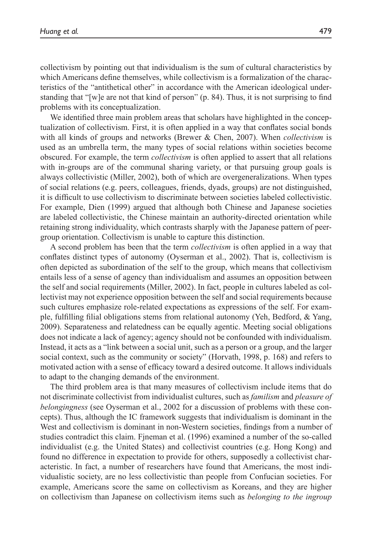collectivism by pointing out that individualism is the sum of cultural characteristics by which Americans define themselves, while collectivism is a formalization of the characteristics of the "antithetical other" in accordance with the American ideological understanding that "[w]e are not that kind of person" (p. 84). Thus, it is not surprising to find problems with its conceptualization.

We identified three main problem areas that scholars have highlighted in the conceptualization of collectivism. First, it is often applied in a way that conflates social bonds with all kinds of groups and networks (Brewer & Chen, 2007). When *collectivism* is used as an umbrella term, the many types of social relations within societies become obscured. For example, the term *collectivism* is often applied to assert that all relations with in-groups are of the communal sharing variety, or that pursuing group goals is always collectivistic (Miller, 2002), both of which are overgeneralizations. When types of social relations (e.g. peers, colleagues, friends, dyads, groups) are not distinguished, it is difficult to use collectivism to discriminate between societies labeled collectivistic. For example, Dien (1999) argued that although both Chinese and Japanese societies are labeled collectivistic, the Chinese maintain an authority-directed orientation while retaining strong individuality, which contrasts sharply with the Japanese pattern of peergroup orientation. Collectivism is unable to capture this distinction.

A second problem has been that the term *collectivism* is often applied in a way that conflates distinct types of autonomy (Oyserman et al., 2002). That is, collectivism is often depicted as subordination of the self to the group, which means that collectivism entails less of a sense of agency than individualism and assumes an opposition between the self and social requirements (Miller, 2002). In fact, people in cultures labeled as collectivist may not experience opposition between the self and social requirements because such cultures emphasize role-related expectations as expressions of the self. For example, fulfilling filial obligations stems from relational autonomy (Yeh, Bedford, & Yang, 2009). Separateness and relatedness can be equally agentic. Meeting social obligations does not indicate a lack of agency; agency should not be confounded with individualism. Instead, it acts as a "link between a social unit, such as a person or a group, and the larger social context, such as the community or society" (Horvath, 1998, p. 168) and refers to motivated action with a sense of efficacy toward a desired outcome. It allows individuals to adapt to the changing demands of the environment.

The third problem area is that many measures of collectivism include items that do not discriminate collectivist from individualist cultures, such as *familism* and *pleasure of belongingness* (see Oyserman et al., 2002 for a discussion of problems with these concepts). Thus, although the IC framework suggests that individualism is dominant in the West and collectivism is dominant in non-Western societies, findings from a number of studies contradict this claim. Fjneman et al. (1996) examined a number of the so-called individualist (e.g. the United States) and collectivist countries (e.g. Hong Kong) and found no difference in expectation to provide for others, supposedly a collectivist characteristic. In fact, a number of researchers have found that Americans, the most individualistic society, are no less collectivistic than people from Confucian societies. For example, Americans score the same on collectivism as Koreans, and they are higher on collectivism than Japanese on collectivism items such as *belonging to the ingroup*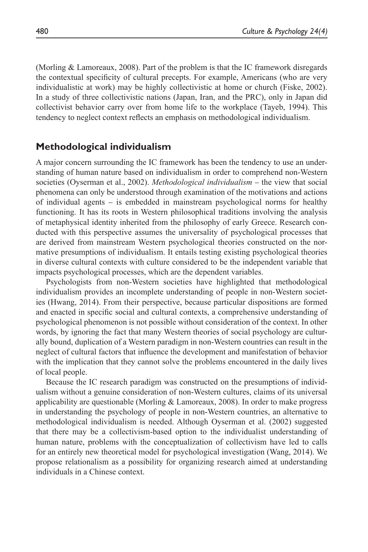(Morling & Lamoreaux, 2008). Part of the problem is that the IC framework disregards the contextual specificity of cultural precepts. For example, Americans (who are very individualistic at work) may be highly collectivistic at home or church (Fiske, 2002). In a study of three collectivistic nations (Japan, Iran, and the PRC), only in Japan did collectivist behavior carry over from home life to the workplace (Tayeb, 1994). This tendency to neglect context reflects an emphasis on methodological individualism.

#### **Methodological individualism**

A major concern surrounding the IC framework has been the tendency to use an understanding of human nature based on individualism in order to comprehend non-Western societies (Oyserman et al., 2002). *Methodological individualism* – the view that social phenomena can only be understood through examination of the motivations and actions of individual agents – is embedded in mainstream psychological norms for healthy functioning. It has its roots in Western philosophical traditions involving the analysis of metaphysical identity inherited from the philosophy of early Greece. Research conducted with this perspective assumes the universality of psychological processes that are derived from mainstream Western psychological theories constructed on the normative presumptions of individualism. It entails testing existing psychological theories in diverse cultural contexts with culture considered to be the independent variable that impacts psychological processes, which are the dependent variables.

Psychologists from non-Western societies have highlighted that methodological individualism provides an incomplete understanding of people in non-Western societies (Hwang, 2014). From their perspective, because particular dispositions are formed and enacted in specific social and cultural contexts, a comprehensive understanding of psychological phenomenon is not possible without consideration of the context. In other words, by ignoring the fact that many Western theories of social psychology are culturally bound, duplication of a Western paradigm in non-Western countries can result in the neglect of cultural factors that influence the development and manifestation of behavior with the implication that they cannot solve the problems encountered in the daily lives of local people.

Because the IC research paradigm was constructed on the presumptions of individualism without a genuine consideration of non-Western cultures, claims of its universal applicability are questionable (Morling  $&$  Lamoreaux, 2008). In order to make progress in understanding the psychology of people in non-Western countries, an alternative to methodological individualism is needed. Although Oyserman et al. (2002) suggested that there may be a collectivism-based option to the individualist understanding of human nature, problems with the conceptualization of collectivism have led to calls for an entirely new theoretical model for psychological investigation (Wang, 2014). We propose relationalism as a possibility for organizing research aimed at understanding individuals in a Chinese context.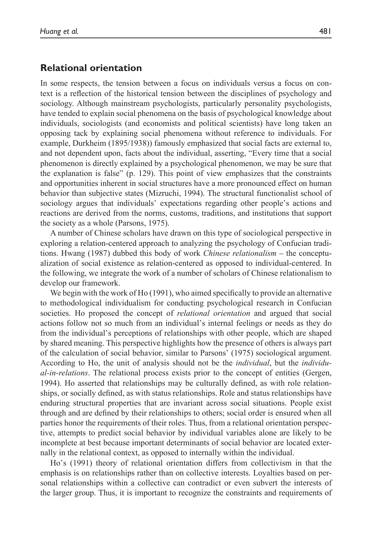## **Relational orientation**

In some respects, the tension between a focus on individuals versus a focus on context is a reflection of the historical tension between the disciplines of psychology and sociology. Although mainstream psychologists, particularly personality psychologists, have tended to explain social phenomena on the basis of psychological knowledge about individuals, sociologists (and economists and political scientists) have long taken an opposing tack by explaining social phenomena without reference to individuals. For example, Durkheim (1895/1938)) famously emphasized that social facts are external to, and not dependent upon, facts about the individual, asserting, "Every time that a social phenomenon is directly explained by a psychological phenomenon, we may be sure that the explanation is false" (p. 129). This point of view emphasizes that the constraints and opportunities inherent in social structures have a more pronounced effect on human behavior than subjective states (Mizruchi, 1994). The structural functionalist school of sociology argues that individuals' expectations regarding other people's actions and reactions are derived from the norms, customs, traditions, and institutions that support the society as a whole (Parsons, 1975).

A number of Chinese scholars have drawn on this type of sociological perspective in exploring a relation-centered approach to analyzing the psychology of Confucian traditions. Hwang (1987) dubbed this body of work *Chinese relationalism* – the conceptualization of social existence as relation-centered as opposed to individual-centered. In the following, we integrate the work of a number of scholars of Chinese relationalism to develop our framework.

We begin with the work of Ho (1991), who aimed specifically to provide an alternative to methodological individualism for conducting psychological research in Confucian societies. Ho proposed the concept of *relational orientation* and argued that social actions follow not so much from an individual's internal feelings or needs as they do from the individual's perceptions of relationships with other people, which are shaped by shared meaning. This perspective highlights how the presence of others is always part of the calculation of social behavior, similar to Parsons' (1975) sociological argument. According to Ho, the unit of analysis should not be the *individual*, but the *individual-in-relations*. The relational process exists prior to the concept of entities (Gergen, 1994). Ho asserted that relationships may be culturally defined, as with role relationships, or socially defined, as with status relationships. Role and status relationships have enduring structural properties that are invariant across social situations. People exist through and are defined by their relationships to others; social order is ensured when all parties honor the requirements of their roles. Thus, from a relational orientation perspective, attempts to predict social behavior by individual variables alone are likely to be incomplete at best because important determinants of social behavior are located externally in the relational context, as opposed to internally within the individual.

Ho's (1991) theory of relational orientation differs from collectivism in that the emphasis is on relationships rather than on collective interests. Loyalties based on personal relationships within a collective can contradict or even subvert the interests of the larger group. Thus, it is important to recognize the constraints and requirements of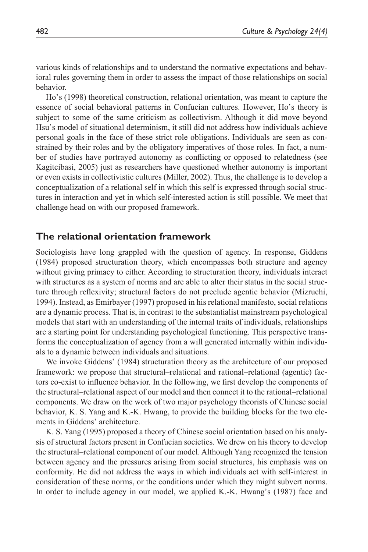various kinds of relationships and to understand the normative expectations and behavioral rules governing them in order to assess the impact of those relationships on social behavior.

Ho's (1998) theoretical construction, relational orientation, was meant to capture the essence of social behavioral patterns in Confucian cultures. However, Ho's theory is subject to some of the same criticism as collectivism. Although it did move beyond Hsu's model of situational determinism, it still did not address how individuals achieve personal goals in the face of these strict role obligations. Individuals are seen as constrained by their roles and by the obligatory imperatives of those roles. In fact, a number of studies have portrayed autonomy as conflicting or opposed to relatedness (see Kagitcibasi, 2005) just as researchers have questioned whether autonomy is important or even exists in collectivistic cultures (Miller, 2002). Thus, the challenge is to develop a conceptualization of a relational self in which this self is expressed through social structures in interaction and yet in which self-interested action is still possible. We meet that challenge head on with our proposed framework.

#### **The relational orientation framework**

Sociologists have long grappled with the question of agency. In response, Giddens (1984) proposed structuration theory, which encompasses both structure and agency without giving primacy to either. According to structuration theory, individuals interact with structures as a system of norms and are able to alter their status in the social structure through reflexivity; structural factors do not preclude agentic behavior (Mizruchi, 1994). Instead, as Emirbayer (1997) proposed in his relational manifesto, social relations are a dynamic process. That is, in contrast to the substantialist mainstream psychological models that start with an understanding of the internal traits of individuals, relationships are a starting point for understanding psychological functioning. This perspective transforms the conceptualization of agency from a will generated internally within individuals to a dynamic between individuals and situations.

We invoke Giddens' (1984) structuration theory as the architecture of our proposed framework: we propose that structural–relational and rational–relational (agentic) factors co-exist to influence behavior. In the following, we first develop the components of the structural–relational aspect of our model and then connect it to the rational–relational components. We draw on the work of two major psychology theorists of Chinese social behavior, K. S. Yang and K.-K. Hwang, to provide the building blocks for the two elements in Giddens' architecture.

K. S. Yang (1995) proposed a theory of Chinese social orientation based on his analysis of structural factors present in Confucian societies. We drew on his theory to develop the structural–relational component of our model. Although Yang recognized the tension between agency and the pressures arising from social structures, his emphasis was on conformity. He did not address the ways in which individuals act with self-interest in consideration of these norms, or the conditions under which they might subvert norms. In order to include agency in our model, we applied K.-K. Hwang's (1987) face and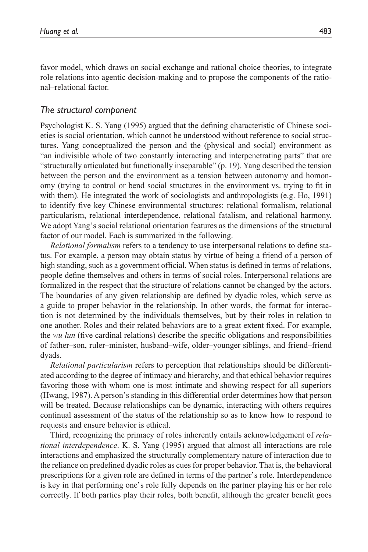favor model, which draws on social exchange and rational choice theories, to integrate role relations into agentic decision-making and to propose the components of the rational–relational factor.

#### *The structural component*

Psychologist K. S. Yang (1995) argued that the defining characteristic of Chinese societies is social orientation, which cannot be understood without reference to social structures. Yang conceptualized the person and the (physical and social) environment as "an indivisible whole of two constantly interacting and interpenetrating parts" that are "structurally articulated but functionally inseparable" (p. 19). Yang described the tension between the person and the environment as a tension between autonomy and homonomy (trying to control or bend social structures in the environment vs. trying to fit in with them). He integrated the work of sociologists and anthropologists (e.g. Ho, 1991) to identify five key Chinese environmental structures: relational formalism, relational particularism, relational interdependence, relational fatalism, and relational harmony. We adopt Yang's social relational orientation features as the dimensions of the structural factor of our model. Each is summarized in the following.

*Relational formalism* refers to a tendency to use interpersonal relations to define status. For example, a person may obtain status by virtue of being a friend of a person of high standing, such as a government official. When status is defined in terms of relations, people define themselves and others in terms of social roles. Interpersonal relations are formalized in the respect that the structure of relations cannot be changed by the actors. The boundaries of any given relationship are defined by dyadic roles, which serve as a guide to proper behavior in the relationship. In other words, the format for interaction is not determined by the individuals themselves, but by their roles in relation to one another. Roles and their related behaviors are to a great extent fixed. For example, the *wu lun* (five cardinal relations) describe the specific obligations and responsibilities of father–son, ruler–minister, husband–wife, older–younger siblings, and friend–friend dyads.

*Relational particularism* refers to perception that relationships should be differentiated according to the degree of intimacy and hierarchy, and that ethical behavior requires favoring those with whom one is most intimate and showing respect for all superiors (Hwang, 1987). A person's standing in this differential order determines how that person will be treated. Because relationships can be dynamic, interacting with others requires continual assessment of the status of the relationship so as to know how to respond to requests and ensure behavior is ethical.

Third, recognizing the primacy of roles inherently entails acknowledgement of *relational interdependence*. K. S. Yang (1995) argued that almost all interactions are role interactions and emphasized the structurally complementary nature of interaction due to the reliance on predefined dyadic roles as cues for proper behavior. That is, the behavioral prescriptions for a given role are defined in terms of the partner's role. Interdependence is key in that performing one's role fully depends on the partner playing his or her role correctly. If both parties play their roles, both benefit, although the greater benefit goes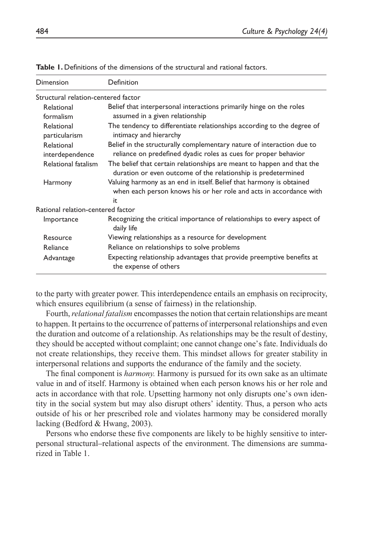| Dimension                           | Definition                                                                                                                                       |
|-------------------------------------|--------------------------------------------------------------------------------------------------------------------------------------------------|
| Structural relation-centered factor |                                                                                                                                                  |
| Relational<br>formalism             | Belief that interpersonal interactions primarily hinge on the roles<br>assumed in a given relationship                                           |
| Relational<br>particularism         | The tendency to differentiate relationships according to the degree of<br>intimacy and hierarchy                                                 |
| Relational<br>interdependence       | Belief in the structurally complementary nature of interaction due to<br>reliance on predefined dyadic roles as cues for proper behavior         |
| Relational fatalism                 | The belief that certain relationships are meant to happen and that the<br>duration or even outcome of the relationship is predetermined          |
| Harmony                             | Valuing harmony as an end in itself. Belief that harmony is obtained<br>when each person knows his or her role and acts in accordance with<br>it |
| Rational relation-centered factor   |                                                                                                                                                  |
| Importance                          | Recognizing the critical importance of relationships to every aspect of<br>daily life                                                            |
| Resource                            | Viewing relationships as a resource for development                                                                                              |
| Reliance                            | Reliance on relationships to solve problems                                                                                                      |
| Advantage                           | Expecting relationship advantages that provide preemptive benefits at<br>the expense of others                                                   |

**Table 1.** Definitions of the dimensions of the structural and rational factors.

to the party with greater power. This interdependence entails an emphasis on reciprocity, which ensures equilibrium (a sense of fairness) in the relationship.

Fourth, *relational fatalism* encompasses the notion that certain relationships are meant to happen. It pertains to the occurrence of patterns of interpersonal relationships and even the duration and outcome of a relationship. As relationships may be the result of destiny, they should be accepted without complaint; one cannot change one's fate. Individuals do not create relationships, they receive them. This mindset allows for greater stability in interpersonal relations and supports the endurance of the family and the society.

The final component is *harmony.* Harmony is pursued for its own sake as an ultimate value in and of itself. Harmony is obtained when each person knows his or her role and acts in accordance with that role. Upsetting harmony not only disrupts one's own identity in the social system but may also disrupt others' identity. Thus, a person who acts outside of his or her prescribed role and violates harmony may be considered morally lacking (Bedford & Hwang, 2003).

Persons who endorse these five components are likely to be highly sensitive to interpersonal structural–relational aspects of the environment. The dimensions are summarized in Table 1.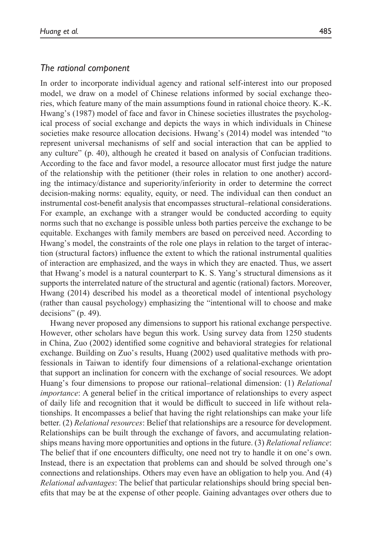## *The rational component*

In order to incorporate individual agency and rational self-interest into our proposed model, we draw on a model of Chinese relations informed by social exchange theories, which feature many of the main assumptions found in rational choice theory. K.-K. Hwang's (1987) model of face and favor in Chinese societies illustrates the psychological process of social exchange and depicts the ways in which individuals in Chinese societies make resource allocation decisions. Hwang's (2014) model was intended "to represent universal mechanisms of self and social interaction that can be applied to any culture" (p. 40), although he created it based on analysis of Confucian traditions. According to the face and favor model, a resource allocator must first judge the nature of the relationship with the petitioner (their roles in relation to one another) according the intimacy/distance and superiority/inferiority in order to determine the correct decision-making norms: equality, equity, or need. The individual can then conduct an instrumental cost-benefit analysis that encompasses structural–relational considerations. For example, an exchange with a stranger would be conducted according to equity norms such that no exchange is possible unless both parties perceive the exchange to be equitable. Exchanges with family members are based on perceived need. According to Hwang's model, the constraints of the role one plays in relation to the target of interaction (structural factors) influence the extent to which the rational instrumental qualities of interaction are emphasized, and the ways in which they are enacted. Thus, we assert that Hwang's model is a natural counterpart to K. S. Yang's structural dimensions as it supports the interrelated nature of the structural and agentic (rational) factors. Moreover, Hwang (2014) described his model as a theoretical model of intentional psychology (rather than causal psychology) emphasizing the "intentional will to choose and make decisions" (p. 49).

Hwang never proposed any dimensions to support his rational exchange perspective. However, other scholars have begun this work. Using survey data from 1250 students in China, Zuo (2002) identified some cognitive and behavioral strategies for relational exchange. Building on Zuo's results, Huang (2002) used qualitative methods with professionals in Taiwan to identify four dimensions of a relational-exchange orientation that support an inclination for concern with the exchange of social resources. We adopt Huang's four dimensions to propose our rational–relational dimension: (1) *Relational importance*: A general belief in the critical importance of relationships to every aspect of daily life and recognition that it would be difficult to succeed in life without relationships. It encompasses a belief that having the right relationships can make your life better. (2) *Relational resources*: Belief that relationships are a resource for development. Relationships can be built through the exchange of favors, and accumulating relationships means having more opportunities and options in the future. (3) *Relational reliance*: The belief that if one encounters difficulty, one need not try to handle it on one's own. Instead, there is an expectation that problems can and should be solved through one's connections and relationships. Others may even have an obligation to help you. And (4) *Relational advantages*: The belief that particular relationships should bring special benefits that may be at the expense of other people. Gaining advantages over others due to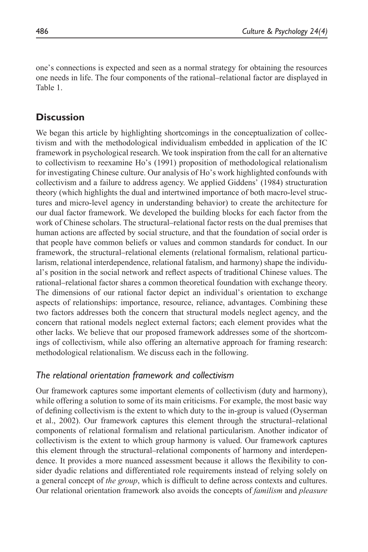one's connections is expected and seen as a normal strategy for obtaining the resources one needs in life. The four components of the rational–relational factor are displayed in Table 1.

# **Discussion**

We began this article by highlighting shortcomings in the conceptualization of collectivism and with the methodological individualism embedded in application of the IC framework in psychological research. We took inspiration from the call for an alternative to collectivism to reexamine Ho's (1991) proposition of methodological relationalism for investigating Chinese culture. Our analysis of Ho's work highlighted confounds with collectivism and a failure to address agency. We applied Giddens' (1984) structuration theory (which highlights the dual and intertwined importance of both macro-level structures and micro-level agency in understanding behavior) to create the architecture for our dual factor framework. We developed the building blocks for each factor from the work of Chinese scholars. The structural–relational factor rests on the dual premises that human actions are affected by social structure, and that the foundation of social order is that people have common beliefs or values and common standards for conduct. In our framework, the structural–relational elements (relational formalism, relational particularism, relational interdependence, relational fatalism, and harmony) shape the individual's position in the social network and reflect aspects of traditional Chinese values. The rational–relational factor shares a common theoretical foundation with exchange theory. The dimensions of our rational factor depict an individual's orientation to exchange aspects of relationships: importance, resource, reliance, advantages. Combining these two factors addresses both the concern that structural models neglect agency, and the concern that rational models neglect external factors; each element provides what the other lacks. We believe that our proposed framework addresses some of the shortcomings of collectivism, while also offering an alternative approach for framing research: methodological relationalism. We discuss each in the following.

## *The relational orientation framework and collectivism*

Our framework captures some important elements of collectivism (duty and harmony), while offering a solution to some of its main criticisms. For example, the most basic way of defining collectivism is the extent to which duty to the in-group is valued (Oyserman et al., 2002). Our framework captures this element through the structural–relational components of relational formalism and relational particularism. Another indicator of collectivism is the extent to which group harmony is valued. Our framework captures this element through the structural–relational components of harmony and interdependence. It provides a more nuanced assessment because it allows the flexibility to consider dyadic relations and differentiated role requirements instead of relying solely on a general concept of *the group*, which is difficult to define across contexts and cultures. Our relational orientation framework also avoids the concepts of *familism* and *pleasure*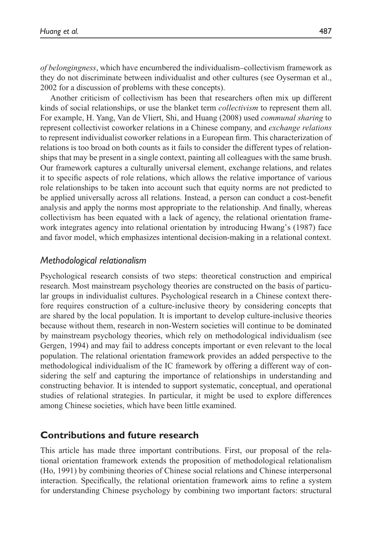*of belongingness*, which have encumbered the individualism–collectivism framework as they do not discriminate between individualist and other cultures (see Oyserman et al., 2002 for a discussion of problems with these concepts).

Another criticism of collectivism has been that researchers often mix up different kinds of social relationships, or use the blanket term *collectivism* to represent them all. For example, H. Yang, Van de Vliert, Shi, and Huang (2008) used *communal sharing* to represent collectivist coworker relations in a Chinese company, and *exchange relations* to represent individualist coworker relations in a European firm. This characterization of relations is too broad on both counts as it fails to consider the different types of relationships that may be present in a single context, painting all colleagues with the same brush. Our framework captures a culturally universal element, exchange relations, and relates it to specific aspects of role relations, which allows the relative importance of various role relationships to be taken into account such that equity norms are not predicted to be applied universally across all relations. Instead, a person can conduct a cost-benefit analysis and apply the norms most appropriate to the relationship. And finally, whereas collectivism has been equated with a lack of agency, the relational orientation framework integrates agency into relational orientation by introducing Hwang's (1987) face and favor model, which emphasizes intentional decision-making in a relational context.

## *Methodological relationalism*

Psychological research consists of two steps: theoretical construction and empirical research. Most mainstream psychology theories are constructed on the basis of particular groups in individualist cultures. Psychological research in a Chinese context therefore requires construction of a culture-inclusive theory by considering concepts that are shared by the local population. It is important to develop culture-inclusive theories because without them, research in non-Western societies will continue to be dominated by mainstream psychology theories, which rely on methodological individualism (see Gergen, 1994) and may fail to address concepts important or even relevant to the local population. The relational orientation framework provides an added perspective to the methodological individualism of the IC framework by offering a different way of considering the self and capturing the importance of relationships in understanding and constructing behavior. It is intended to support systematic, conceptual, and operational studies of relational strategies. In particular, it might be used to explore differences among Chinese societies, which have been little examined.

## **Contributions and future research**

This article has made three important contributions. First, our proposal of the relational orientation framework extends the proposition of methodological relationalism (Ho, 1991) by combining theories of Chinese social relations and Chinese interpersonal interaction. Specifically, the relational orientation framework aims to refine a system for understanding Chinese psychology by combining two important factors: structural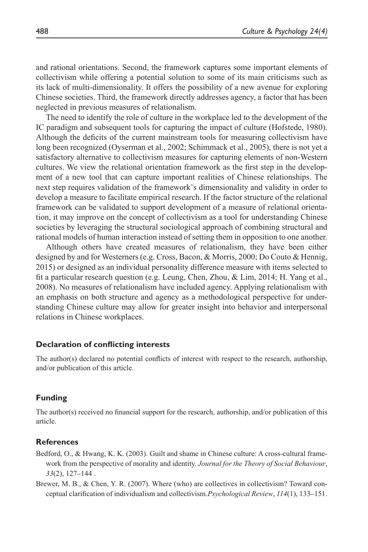and rational orientations. Second, the framework captures some important elements of collectivism while offering a potential solution to some of its main criticisms such as its lack of multi-dimensionality. It offers the possibility of a new avenue for exploring Chinese societies. Third, the framework directly addresses agency, a factor that has been neglected in previous measures of relationalism.

The need to identify the role of culture in the workplace led to the development of the IC paradigm and subsequent tools for capturing the impact of culture (Hofstede, 1980). Although the deficits of the current mainstream tools for measuring collectivism have long been recognized (Oyserman et al., 2002; Schimmack et al., 2005), there is not yet a satisfactory alternative to collectivism measures for capturing elements of non-Western cultures. We view the relational orientation framework as the first step in the development of a new tool that can capture important realities of Chinese relationships. The next step requires validation of the framework's dimensionality and validity in order to develop a measure to facilitate empirical research. If the factor structure of the relational framework can be validated to support development of a measure of relational orientation, it may improve on the concept of collectivism as a tool for understanding Chinese societies by leveraging the structural sociological approach of combining structural and rational models of human interaction instead of setting them in opposition to one another.

Although others have created measures of relationalism, they have been either designed by and for Westerners (e.g. Cross, Bacon, & Morris, 2000; Do Couto & Hennig, 2015) or designed as an individual personality difference measure with items selected to fit a particular research question (e.g. Leung, Chen, Zhou, & Lim, 2014; H. Yang et al., 2008). No measures of relationalism have included agency. Applying relationalism with an emphasis on both structure and agency as a methodological perspective for understanding Chinese culture may allow for greater insight into behavior and interpersonal relations in Chinese workplaces.

#### **Declaration of conflicting interests**

The author(s) declared no potential conflicts of interest with respect to the research, authorship, and/or publication of this article.

#### **Funding**

The author(s) received no financial support for the research, authorship, and/or publication of this article.

#### **References**

- Bedford, O., & Hwang, K. K. (2003). Guilt and shame in Chinese culture: A cross-cultural framework from the perspective of morality and identity. *Journal for the Theory of Social Behaviour*, *33*(2), 127–144 .
- Brewer, M. B., & Chen, Y. R. (2007). Where (who) are collectives in collectivism? Toward conceptual clarification of individualism and collectivism.*Psychological Review*, *114*(1), 133–151.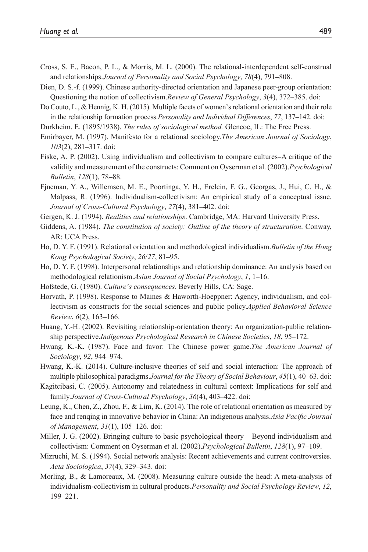- Cross, S. E., Bacon, P. L., & Morris, M. L. (2000). The relational-interdependent self-construal and relationships.*Journal of Personality and Social Psychology*, *78*(4), 791–808.
- Dien, D. S.-f. (1999). Chinese authority-directed orientation and Japanese peer-group orientation: Questioning the notion of collectivism.*Review of General Psychology*, *3*(4), 372–385. doi:
- Do Couto, L., & Hennig, K. H. (2015). Multiple facets of women's relational orientation and their role in the relationship formation process.*Personality and Individual Differences*, *77*, 137–142. doi:
- Durkheim, E. (1895/1938). *The rules of sociological method.* Glencoe, IL: The Free Press.
- Emirbayer, M. (1997). Manifesto for a relational sociology.*The American Journal of Sociology*, *103*(2), 281–317. doi:
- Fiske, A. P. (2002). Using individualism and collectivism to compare cultures–A critique of the validity and measurement of the constructs: Comment on Oyserman et al. (2002).*Psychological Bulletin*, *128*(1), 78–88.
- Fjneman, Y. A., Willemsen, M. E., Poortinga, Y. H., Erelcin, F. G., Georgas, J., Hui, C. H., & Malpass, R. (1996). Individualism-collectivism: An empirical study of a conceptual issue. *Journal of Cross-Cultural Psychology*, *27*(4), 381–402. doi:
- Gergen, K. J. (1994). *Realities and relationships*. Cambridge, MA: Harvard University Press.
- Giddens, A. (1984). *The constitution of society: Outline of the theory of structuration*. Conway, AR: UCA Press.
- Ho, D. Y. F. (1991). Relational orientation and methodological individualism.*Bulletin of the Hong Kong Psychological Society*, *26*/*27*, 81–95.
- Ho, D. Y. F. (1998). Interpersonal relationships and relationship dominance: An analysis based on methodological relationism.*Asian Journal of Social Psychology*, *1*, 1–16.
- Hofstede, G. (1980). *Culture's consequences*. Beverly Hills, CA: Sage.
- Horvath, P. (1998). Response to Maines & Haworth-Hoeppner: Agency, individualism, and collectivism as constructs for the social sciences and public policy.*Applied Behavioral Science Review*, *6*(2), 163–166.
- Huang, Y.-H. (2002). Revisiting relationship-orientation theory: An organization-public relationship perspective.*Indigenous Psychological Research in Chinese Societies*, *18*, 95–172.
- Hwang, K.-K. (1987). Face and favor: The Chinese power game.*The American Journal of Sociology*, *92*, 944–974.
- Hwang, K.-K. (2014). Culture-inclusive theories of self and social interaction: The approach of multiple philosophical paradigms.*Journal for the Theory of Social Behaviour*, *45*(1), 40–63. doi:
- Kagitcibasi, C. (2005). Autonomy and relatedness in cultural context: Implications for self and family.*Journal of Cross-Cultural Psychology*, *36*(4), 403–422. doi:
- Leung, K., Chen, Z., Zhou, F., & Lim, K. (2014). The role of relational orientation as measured by face and renqing in innovative behavior in China: An indigenous analysis.*Asia Pacific Journal of Management*, *31*(1), 105–126. doi:
- Miller, J. G. (2002). Bringing culture to basic psychological theory Beyond individualism and collectivism: Comment on Oyserman et al. (2002).*Psychological Bulletin*, *128*(1), 97–109.
- Mizruchi, M. S. (1994). Social network analysis: Recent achievements and current controversies. *Acta Sociologica*, *37*(4), 329–343. doi:
- Morling, B., & Lamoreaux, M. (2008). Measuring culture outside the head: A meta-analysis of individualism-collectivism in cultural products.*Personality and Social Psychology Review*, *12*, 199–221.